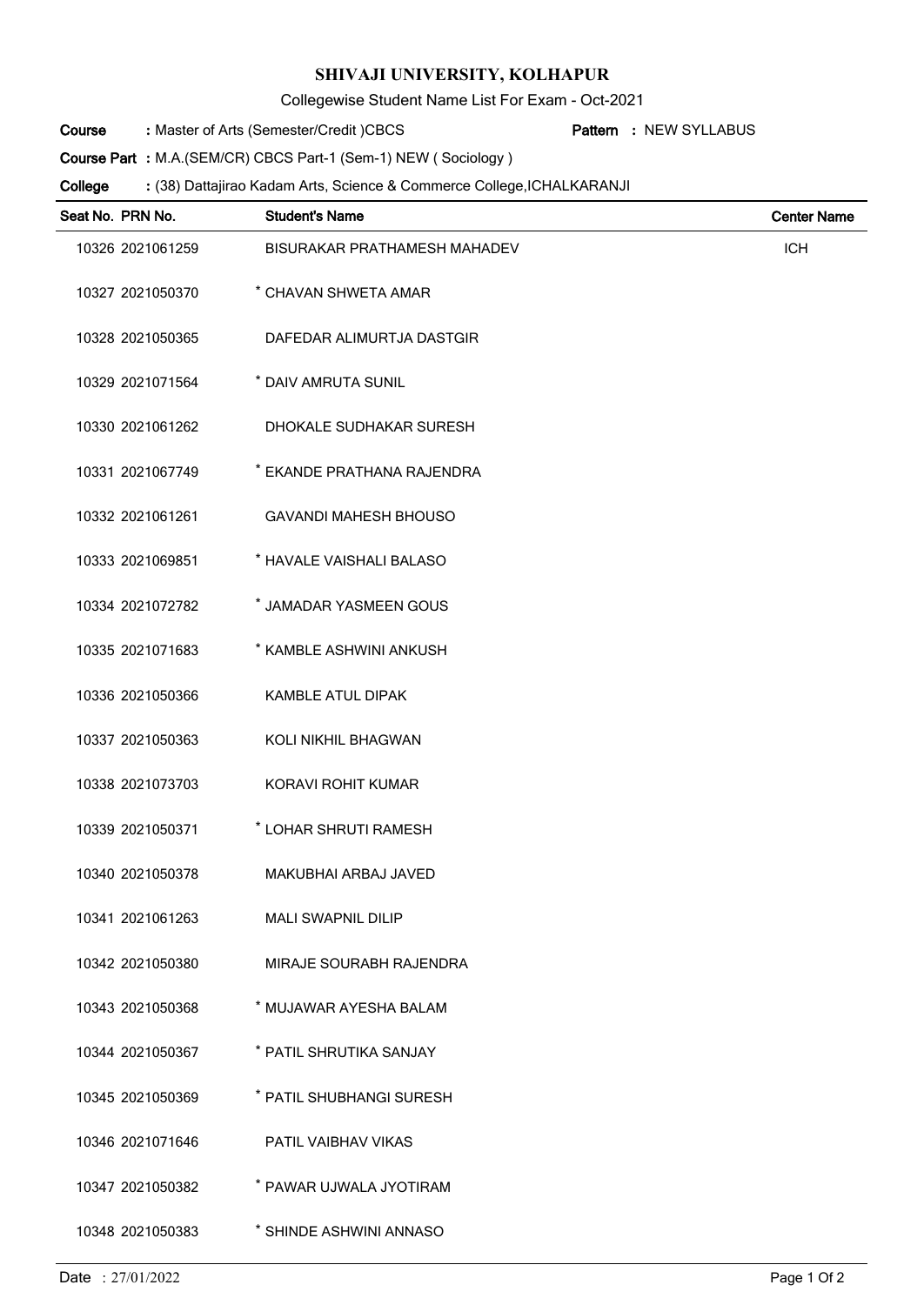## **SHIVAJI UNIVERSITY, KOLHAPUR**

Collegewise Student Name List For Exam - Oct-2021

Master of Arts (Semester/Credit )CBCS **: Pattern Course**

NEW SYLLABUS **:**

**Course Part :** M.A.(SEM/CR) CBCS Part-1 (Sem-1) NEW ( Sociology )

(38) Dattajirao Kadam Arts, Science & Commerce College,ICHALKARANJI **: College**

| Seat No. PRN No. | <b>Student's Name</b>               | <b>Center Name</b> |
|------------------|-------------------------------------|--------------------|
| 10326 2021061259 | <b>BISURAKAR PRATHAMESH MAHADEV</b> | <b>ICH</b>         |
| 10327 2021050370 | * CHAVAN SHWETA AMAR                |                    |
| 10328 2021050365 | DAFEDAR ALIMURTJA DASTGIR           |                    |
| 10329 2021071564 | * DAIV AMRUTA SUNIL                 |                    |
| 10330 2021061262 | DHOKALE SUDHAKAR SURESH             |                    |
| 10331 2021067749 | * EKANDE PRATHANA RAJENDRA          |                    |
| 10332 2021061261 | <b>GAVANDI MAHESH BHOUSO</b>        |                    |
| 10333 2021069851 | * HAVALE VAISHALI BALASO            |                    |
| 10334 2021072782 | * JAMADAR YASMEEN GOUS              |                    |
| 10335 2021071683 | * KAMBLE ASHWINI ANKUSH             |                    |
| 10336 2021050366 | KAMBLE ATUL DIPAK                   |                    |
| 10337 2021050363 | KOLI NIKHIL BHAGWAN                 |                    |
| 10338 2021073703 | KORAVI ROHIT KUMAR                  |                    |
| 10339 2021050371 | * LOHAR SHRUTI RAMESH               |                    |
| 10340 2021050378 | <b>MAKUBHAI ARBAJ JAVED</b>         |                    |
| 10341 2021061263 | <b>MALI SWAPNIL DILIP</b>           |                    |
| 10342 2021050380 | MIRAJE SOURABH RAJENDRA             |                    |
| 10343 2021050368 | * MUJAWAR AYESHA BALAM              |                    |
| 10344 2021050367 | * PATIL SHRUTIKA SANJAY             |                    |
| 10345 2021050369 | * PATIL SHUBHANGI SURESH            |                    |
| 10346 2021071646 | PATIL VAIBHAV VIKAS                 |                    |
| 10347 2021050382 | * PAWAR UJWALA JYOTIRAM             |                    |
| 10348 2021050383 | * SHINDE ASHWINI ANNASO             |                    |